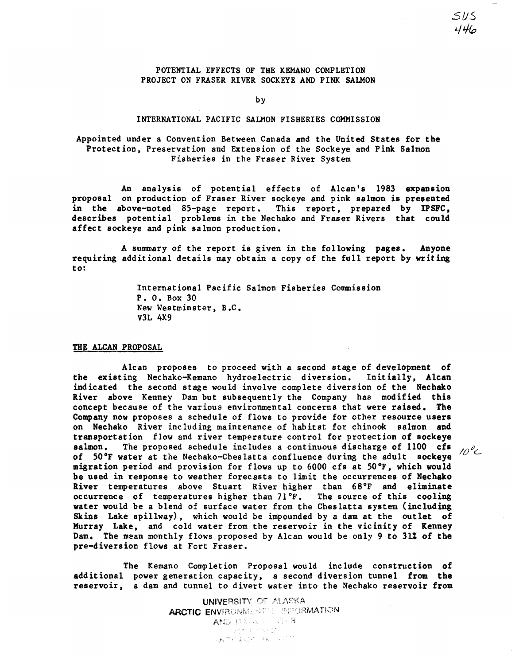## POTENTIAL EFFECTS OF THE KEMANO COMPLETION PROJECT ON FRASER RIVER SOCKEYE AND PINK SALMON

by

### INTERNATIONAL PACIFIC SALMON FISHERIES COMMISSION

# Appointed under a Convention Between Canada and the United States for the Protection, Preservation and Extension of the Sockeye and Pink Salmon Fisheries in the Fraser River System

An analysis of potential effects of Alcan's 1983 expansion proposal on production of Fraser River sockeye and pink salmon is presented in the above-noted 85-page report. This report, prepared by IPSFC, describes potential problems in the Nechako and Fraser Rivers that could affect sockeye and pink salmon production.

A summary of the report is given in the following pages. Anyone requiring additional details may obtain a copy of the full report by writing to:

> International Pacific Salmon Fisheries Commission P. 0. Box 30 New Westminster, B.C. V3L 4X9

#### THE ALCAN PROPOSAL

Alcan proposes to proceed with a second stage of development of the existing Nechako-Kemano hydroelectric diversion. Initially, Alcan indicated the second stage would involve complete diversion of the Nechako River above Kenney Dam but subsequently the Company has modified this concept because of the various environmental concerns that were raised. The Company now proposes a schedule of flows to provide for other resource users on Nechako River including maintenance of habitat for chinook salmon and transportation flow and river temperature control for protection of sockeye salmon. The proposed schedule includes a continuous discharge of 1100 cfs  $10^{\circ}$ of 50°F water at the Nechako-Cheslatta confluence during the adult sockeye migration period and provision for flows up to 6000 cfs at 50°F, which would be used in response to weather forecasts to limit the occurrences of Nechako River temperatures above Stuart River higher than 68°F and eliminate occurrence of temperatures higher than 71°F. The source of this cooling water would be a blend of surface water from the Cheslatta system (including Skins Lake spillway), which would be impounded by a dam at the outlet of Murray Lake, and cold water from the reservoir in the vicinity of Kenney Dam. The mean monthly flows proposed by Alcan would be only 9 to 31% of the pre-diversion flows at Fort Fraser.

The Kemano Completion Proposal would include construction of additional power generation capacity, a second diversion tunnel from the reservoir, a dam and tunnel to divert water into the Nechako reservoir from

> UNIVERSITY OF ALASKA ARCTIC ENVIRONMENTEL INFORMATION AND DATA I LEECH ny a creat YOU THE RACE OF A STATE OF THE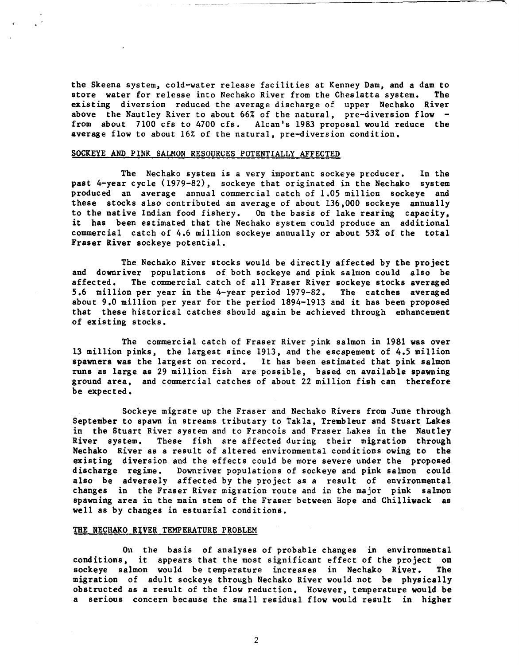the Skeena system, cold-water release facilities at Kenney Dam, and a dam to<br>store water for release into Nechako River from the Cheslatta system. The store water for release into Nechako River from the Cheslatta system. existing diversion reduced the average discharge of upper Necbako River above the Nautley River to about  $66\%$  of the natural, pre-diversion flow -<br>from about 7100 cfs to 4700 cfs. Alcan's 1983 proposal would reduce the Alcan's 1983 proposal would reduce the average flow to about 16% of the natural, pre-diversion condition.

## SOCKEYE AND PINK SALMON RESOURCES POTENTIALLY AFFECTED

The Nechako system is a very important sockeye producer. In the past 4-year cycle (1979-82), sockeye that originated in the Nechako system produced an average annual commercial catch of 1.05 million sockeye and these stocks also contributed an average of about 136,000 sockeye annually to the native Indian food fishery. On the basis of lake rearing capacity, it has been estimated that the Nechako system could produce an additional commercial catch of 4.6 million sockeye annually or about 53% of the total Fraser River sockeye potential.

The Nechako River stocks would be directly affected by the project and downriver populations of both sockeye and pink salmon could also be The commercial catch of all Fraser River sockeye stocks averaged<br>a per year in the 4-year period  $1979-82$ . The catches averaged 5.6 million per year in the 4-year period 1979-82. about 9.0 million per year for the period 1894-1913 and it bas been proposed that these historical catches should again be achieved through enhancement of existing stocks.

The commercial catch of Fraser River pink salmon in 1981 was over 13 million pinks, the largest since 1913, and the escapement of 4.5 million spawners was the largest on record. It bas been estimated that pink salmon runs as large as 29 million fish are possible, based on available spawning ground area, and commercial catches of about 22 million fish can therefore be expected.

Sockeye migrate up the Fraser and Necbako Rivers from June through September to spawn in streams tributary to Takla, Trembleur and Stuart Lakes in the Stuart River system and to Francois and Fraser Lakes in the Nautley River system. These fish are affected during their migration through Nechako River as a result of altered environmental conditions owing to the existing diversion and the effects could be more severe under the proposed discharge regime. Downriver populations of sockeye and pink salmon could also be adversely affected by the project as a result of environmental changes in the Fraser River migration route and in the major pink salmon spawning area in the main stem of the Fraser between Hope and Chilliwack as well as by changes in estuarial conditions.

#### THE NECHAKO RIVER TEMPERATURE PROBLEM

On the basis of analyses of probable changes in environmental conditions, it appears that the most significant effect of the project on sockeye salmon would be temperature increases in Nechako River. The sockeye salmon would be temperature increases in Nechako River. migration of adult sockeye through Nechako River would not be physically obstructed as a result of the flow reduction. However, temperature would be a serious concern because the small residual flow would result in higher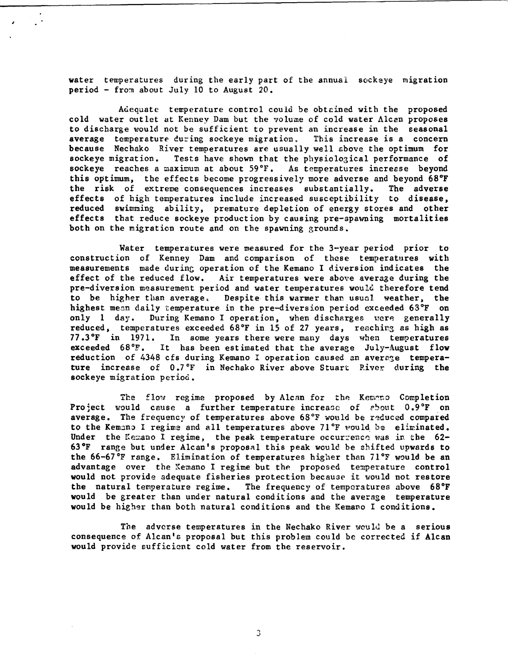water temperatures during the early part of the annual sockeye migration period - from about July 10 to August 20.

~

Adequate temperature control could be obtcined with the proposed cold water outlet at Kenney Dam but the volume of cold water Alcan proposes to discharge would not be sufficient to prevent an increase in the seasonal average temperature during sockeye migration. This increase is a concern because Nechako River temperatures are usually well shove the optimum for sockeye migration. Tests have shown that the physiological performance of sockeye reaches a maximum at about 59°F. As temperatures increase beyond this optimum, the effects become progressively more adverse and beyond 68°F the risk of extreme consequences increases substantially. The adverse effects of high temperatures include increased susceptibility to disease, reduced swimming ability, premature depletion of energy stores and other effects that reduce sockeye production by causing pre-spawning mortalities both on the migration route and on the spawning grounds.

Water temperatures were measured for the 3-year period prior to construction of Kenney Dam and comparison of these temperatures with measurements made during operation of the Kemano I diversion indicates the effect of the reduced flow. Air temperatures were above average during the pre-diversion measurement period and water temperatures would therefore tend to be higher tban average. Despite this warmer than usual weather, the highest menn daily temperature in the pre-diversion period exceeded 63°F on only 1 day. During Kemano I operation, when discharges were generally reduced, temperatures exceeded  $68^{\circ}F$  in 15 of 27 years, reaching as high as 77.3 $^{\circ}F$  in 1971. In some years there were many days when temperatures In some years there were many days when temperatures exceeded  $68^{\circ}$ F. It has been estimated that the average July-August flow reduction of 4348 cfs during Kemano I operation caused an average temperature increase of 0.7°F in Nechako River above Stuart River during the sockeye migration period.

The flow regime proposed by Alcan for the Kemano Completion Project would cause a further temperature increase of about  $0.9^{\circ}$ F on average. The frequency of temperatures above  $68^{\circ}$ F would be reduced compared to the Kemano I regime and all temperatures above 71 $\degree$ F would be eliminated. Under the Kemano I regime, the peak temperature occurrence was in the 62-630F range but under Alcan's proposal this peak woulc be shifted upwards to the 66-67°F range. Elimination of temperatures higher than 7l°F would be an advantage over the Kemano I regime but the proposed temperature control would not provide adequate fisheries protection because it would not restore the natural temperature regime. The frequency of temperatures above 68°F would be greater than under natural conditions and the average temperature would be higher than both natural conditions and the Kemano I conditions.

The adverse temperatures in the Nechako River would be a serious consequence of Alcan's proposal but this problem could be corrected if Alcan would provide sufficient cold water from the reservoir.

3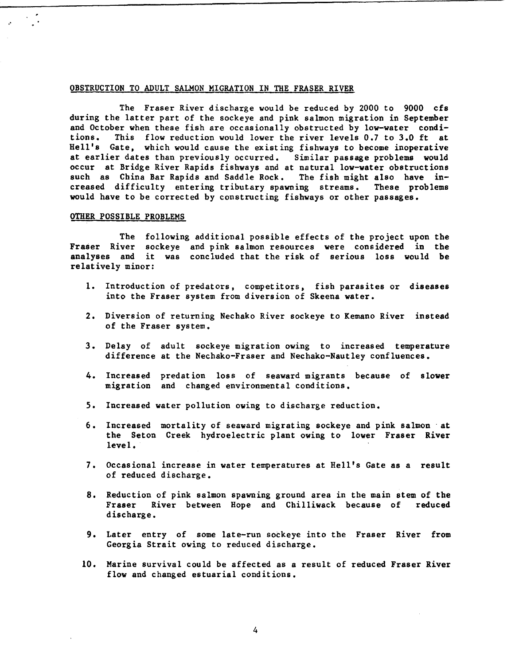#### OBSTRUCTION TO ADULT SALMON MIGRATION IN THE FRASER RIVER

The Fraser River discharge would be reduced by 2000 to 9000 cfs during the latter part of the sockeye and pink salmon migration in September and October when these fish are occasionally obstructed by low-water conditions. This flow reduction would lower the river levels 0.7 to 3.0 ft at Hell's Gate, which would cause the existing fishways to become inoperative at earlier dates than previously occurred. Similar passage problems would occur at Bridge River Rapids fishways and at natural low-water obstructions such as China Bar Rapids and Saddle Rock. The fish might also have increased difficulty entering tributary spawning streams. These problems would have to be corrected by constructing fishways or other passages.

# OTHER POSSIBLE PROBLEMS

•'

The following additional possible effects of the project upon the Fraser River sockeye and pink salmon resources were considered in the analyses and it was concluded that the risk of serious loss would be relatively minor:

- 1. Introduction of predators, competitors, fish parasites or diseases into the Fraser system from diversion of Skeena water.
- 2. Diversion of returning Nechako River sockeye to Kemano River instead of the Fraser system.
- 3. Delay of adult sockeye migration owing to increased temperature difference at the Nechako-Fraser and Nechako-Nautley confluences.
- 4. Increased predation loss of seaward migrants because of slower migration and changed environmental conditions.
- 5. Increased water pollution owing to discharge reduction.
- 6. Increased mortality of seaward migrating sockeye and pink salmon · at the Seton Creek hydroelectric plant owing to lower Fraser River level.
- 7. Occasional increase in water temperatures at Hell's Gate as a result of reduced discharge.
- 8. Reduction of pink salmon spawning ground area in the main stem of the Fraser River between Hope and Chilliwack because of reduced discharge.
- 9. Later entry of some late-run sockeye into the Fraser River from Georgia Strait owing to reduced discharge.
- 10. Marine survival could be affected as a result of reduced Fraser River flow and changed estuarial conditions.